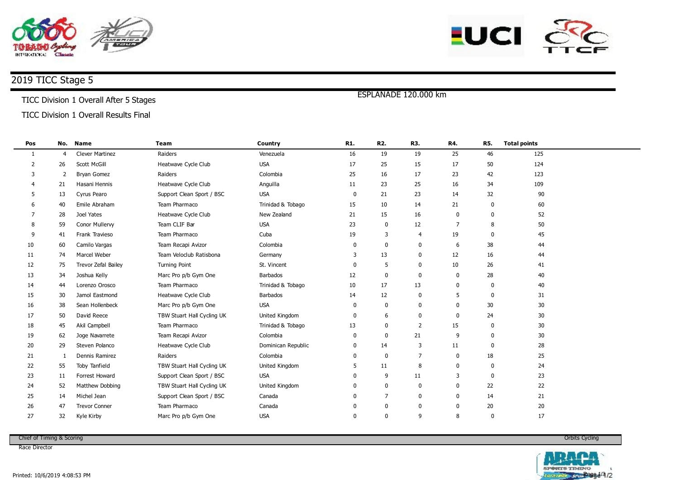



# 2019 TICC Stage 5

#### TICC Division 1 Overall After 5 Stages

### TICC Division 1 Overall Results Final

| 19<br>19<br>25<br>46<br>125<br><b>Clever Martinez</b><br>Raiders<br>16<br>Venezuela<br>1<br>$\overline{4}$<br><b>USA</b><br>124<br>$\overline{2}$<br>Heatwave Cycle Club<br>17<br>25<br>15<br>17<br>50<br>26<br>Scott McGill<br>123<br><b>Bryan Gomez</b><br>Raiders<br>Colombia<br>25<br>16<br>17<br>23<br>42<br>3<br>2<br>23<br>25<br>Heatwave Cycle Club<br>Anguilla<br>11<br>16<br>34<br>109<br>21<br>Hasani Hennis<br><b>USA</b><br>23<br>32<br>0<br>21<br>14<br>90<br>5<br>Cyrus Pearo<br>Support Clean Sport / BSC<br>13<br>Team Pharmaco<br>Emile Abraham<br>Trinidad & Tobago<br>10<br>14<br>21<br>60<br>15<br>40<br>$\mathbf{0}$<br>-6<br>Heatwave Cycle Club<br>New Zealand<br>21<br>15<br>16<br>52<br>28<br>Joel Yates<br>0<br>7<br>$\Omega$<br><b>USA</b><br>12<br>Team CLIF Bar<br>23<br>0<br>$\overline{7}$<br>8<br>50<br>8<br>Conor Mullervy<br>59<br>Team Pharmaco<br>Cuba<br>Frank Travieso<br>19<br>3<br>19<br>45<br>9<br>4<br>$\Omega$<br>41<br>38<br>10<br>Team Recapi Avizor<br>Colombia<br>0<br>0<br>44<br>60<br>Camilo Vargas<br>6<br>0<br>13<br>12<br>Marcel Weber<br>Team Veloclub Ratisbona<br>0<br>16<br>44<br>11<br>74<br>3<br>Germany<br>Trevor Zefal Bailey<br><b>Turning Point</b><br>St. Vincent<br>5<br>0<br>10<br>26<br>12<br>75<br>41<br>$\mathbf{0}$<br>28<br>13<br>12<br>0<br>0<br>40<br>Joshua Kelly<br>Marc Pro p/b Gym One<br>Barbados<br>0<br>34<br>Team Pharmaco<br>13<br>Lorenzo Orosco<br>Trinidad & Tobago<br>10<br>17<br>40<br>14<br>0<br>$\Omega$<br>44<br>12<br>Heatwave Cycle Club<br>Barbados<br>0<br>31<br>15<br>30<br>Jamol Eastmond<br>14<br>5<br>0<br><b>USA</b><br>30<br>16<br>Marc Pro p/b Gym One<br>0<br>0<br>$\mathbf 0$<br>30<br>38<br>Sean Hollenbeck<br>0<br>David Reece<br>TBW Stuart Hall Cycling UK<br>United Kingdom<br>24<br>30<br>17<br>50<br>6<br>$\mathbf 0$<br>$\mathbf 0$<br>$\mathbf{0}$<br>$\overline{2}$<br>Team Pharmaco<br>Trinidad & Tobago<br>13<br>0<br>15<br>30<br>18<br>45<br>Akil Campbell<br>$\Omega$<br>21<br>19<br>Team Recapi Avizor<br>Colombia<br>0<br>9<br>30<br>62<br>Joge Navarrete<br>0<br>$\Omega$<br>Steven Polanco<br>Heatwave Cycle Club<br>Dominican Republic<br>14<br>3<br>11<br>28<br>20<br>29<br>$\mathbf{0}$<br>0<br>Dennis Ramirez<br>Raiders<br>Colombia<br>0<br>$\overline{7}$<br>18<br>25<br>21<br>$\Omega$<br>0<br>-1<br>11<br>8<br>24<br>22<br>TBW Stuart Hall Cycling UK<br>United Kingdom<br>5<br>55<br>Toby Tanfield<br>$\Omega$<br>$\Omega$ |  |
|--------------------------------------------------------------------------------------------------------------------------------------------------------------------------------------------------------------------------------------------------------------------------------------------------------------------------------------------------------------------------------------------------------------------------------------------------------------------------------------------------------------------------------------------------------------------------------------------------------------------------------------------------------------------------------------------------------------------------------------------------------------------------------------------------------------------------------------------------------------------------------------------------------------------------------------------------------------------------------------------------------------------------------------------------------------------------------------------------------------------------------------------------------------------------------------------------------------------------------------------------------------------------------------------------------------------------------------------------------------------------------------------------------------------------------------------------------------------------------------------------------------------------------------------------------------------------------------------------------------------------------------------------------------------------------------------------------------------------------------------------------------------------------------------------------------------------------------------------------------------------------------------------------------------------------------------------------------------------------------------------------------------------------------------------------------------------------------------------------------------------------------------------------------------------------------------------------------------------------------------------------------------------------------------------------------------------------------------------------------------------------------------------------------------------------------------------------------|--|
|                                                                                                                                                                                                                                                                                                                                                                                                                                                                                                                                                                                                                                                                                                                                                                                                                                                                                                                                                                                                                                                                                                                                                                                                                                                                                                                                                                                                                                                                                                                                                                                                                                                                                                                                                                                                                                                                                                                                                                                                                                                                                                                                                                                                                                                                                                                                                                                                                                                              |  |
|                                                                                                                                                                                                                                                                                                                                                                                                                                                                                                                                                                                                                                                                                                                                                                                                                                                                                                                                                                                                                                                                                                                                                                                                                                                                                                                                                                                                                                                                                                                                                                                                                                                                                                                                                                                                                                                                                                                                                                                                                                                                                                                                                                                                                                                                                                                                                                                                                                                              |  |
|                                                                                                                                                                                                                                                                                                                                                                                                                                                                                                                                                                                                                                                                                                                                                                                                                                                                                                                                                                                                                                                                                                                                                                                                                                                                                                                                                                                                                                                                                                                                                                                                                                                                                                                                                                                                                                                                                                                                                                                                                                                                                                                                                                                                                                                                                                                                                                                                                                                              |  |
|                                                                                                                                                                                                                                                                                                                                                                                                                                                                                                                                                                                                                                                                                                                                                                                                                                                                                                                                                                                                                                                                                                                                                                                                                                                                                                                                                                                                                                                                                                                                                                                                                                                                                                                                                                                                                                                                                                                                                                                                                                                                                                                                                                                                                                                                                                                                                                                                                                                              |  |
|                                                                                                                                                                                                                                                                                                                                                                                                                                                                                                                                                                                                                                                                                                                                                                                                                                                                                                                                                                                                                                                                                                                                                                                                                                                                                                                                                                                                                                                                                                                                                                                                                                                                                                                                                                                                                                                                                                                                                                                                                                                                                                                                                                                                                                                                                                                                                                                                                                                              |  |
|                                                                                                                                                                                                                                                                                                                                                                                                                                                                                                                                                                                                                                                                                                                                                                                                                                                                                                                                                                                                                                                                                                                                                                                                                                                                                                                                                                                                                                                                                                                                                                                                                                                                                                                                                                                                                                                                                                                                                                                                                                                                                                                                                                                                                                                                                                                                                                                                                                                              |  |
|                                                                                                                                                                                                                                                                                                                                                                                                                                                                                                                                                                                                                                                                                                                                                                                                                                                                                                                                                                                                                                                                                                                                                                                                                                                                                                                                                                                                                                                                                                                                                                                                                                                                                                                                                                                                                                                                                                                                                                                                                                                                                                                                                                                                                                                                                                                                                                                                                                                              |  |
|                                                                                                                                                                                                                                                                                                                                                                                                                                                                                                                                                                                                                                                                                                                                                                                                                                                                                                                                                                                                                                                                                                                                                                                                                                                                                                                                                                                                                                                                                                                                                                                                                                                                                                                                                                                                                                                                                                                                                                                                                                                                                                                                                                                                                                                                                                                                                                                                                                                              |  |
|                                                                                                                                                                                                                                                                                                                                                                                                                                                                                                                                                                                                                                                                                                                                                                                                                                                                                                                                                                                                                                                                                                                                                                                                                                                                                                                                                                                                                                                                                                                                                                                                                                                                                                                                                                                                                                                                                                                                                                                                                                                                                                                                                                                                                                                                                                                                                                                                                                                              |  |
|                                                                                                                                                                                                                                                                                                                                                                                                                                                                                                                                                                                                                                                                                                                                                                                                                                                                                                                                                                                                                                                                                                                                                                                                                                                                                                                                                                                                                                                                                                                                                                                                                                                                                                                                                                                                                                                                                                                                                                                                                                                                                                                                                                                                                                                                                                                                                                                                                                                              |  |
|                                                                                                                                                                                                                                                                                                                                                                                                                                                                                                                                                                                                                                                                                                                                                                                                                                                                                                                                                                                                                                                                                                                                                                                                                                                                                                                                                                                                                                                                                                                                                                                                                                                                                                                                                                                                                                                                                                                                                                                                                                                                                                                                                                                                                                                                                                                                                                                                                                                              |  |
|                                                                                                                                                                                                                                                                                                                                                                                                                                                                                                                                                                                                                                                                                                                                                                                                                                                                                                                                                                                                                                                                                                                                                                                                                                                                                                                                                                                                                                                                                                                                                                                                                                                                                                                                                                                                                                                                                                                                                                                                                                                                                                                                                                                                                                                                                                                                                                                                                                                              |  |
|                                                                                                                                                                                                                                                                                                                                                                                                                                                                                                                                                                                                                                                                                                                                                                                                                                                                                                                                                                                                                                                                                                                                                                                                                                                                                                                                                                                                                                                                                                                                                                                                                                                                                                                                                                                                                                                                                                                                                                                                                                                                                                                                                                                                                                                                                                                                                                                                                                                              |  |
|                                                                                                                                                                                                                                                                                                                                                                                                                                                                                                                                                                                                                                                                                                                                                                                                                                                                                                                                                                                                                                                                                                                                                                                                                                                                                                                                                                                                                                                                                                                                                                                                                                                                                                                                                                                                                                                                                                                                                                                                                                                                                                                                                                                                                                                                                                                                                                                                                                                              |  |
|                                                                                                                                                                                                                                                                                                                                                                                                                                                                                                                                                                                                                                                                                                                                                                                                                                                                                                                                                                                                                                                                                                                                                                                                                                                                                                                                                                                                                                                                                                                                                                                                                                                                                                                                                                                                                                                                                                                                                                                                                                                                                                                                                                                                                                                                                                                                                                                                                                                              |  |
|                                                                                                                                                                                                                                                                                                                                                                                                                                                                                                                                                                                                                                                                                                                                                                                                                                                                                                                                                                                                                                                                                                                                                                                                                                                                                                                                                                                                                                                                                                                                                                                                                                                                                                                                                                                                                                                                                                                                                                                                                                                                                                                                                                                                                                                                                                                                                                                                                                                              |  |
|                                                                                                                                                                                                                                                                                                                                                                                                                                                                                                                                                                                                                                                                                                                                                                                                                                                                                                                                                                                                                                                                                                                                                                                                                                                                                                                                                                                                                                                                                                                                                                                                                                                                                                                                                                                                                                                                                                                                                                                                                                                                                                                                                                                                                                                                                                                                                                                                                                                              |  |
|                                                                                                                                                                                                                                                                                                                                                                                                                                                                                                                                                                                                                                                                                                                                                                                                                                                                                                                                                                                                                                                                                                                                                                                                                                                                                                                                                                                                                                                                                                                                                                                                                                                                                                                                                                                                                                                                                                                                                                                                                                                                                                                                                                                                                                                                                                                                                                                                                                                              |  |
|                                                                                                                                                                                                                                                                                                                                                                                                                                                                                                                                                                                                                                                                                                                                                                                                                                                                                                                                                                                                                                                                                                                                                                                                                                                                                                                                                                                                                                                                                                                                                                                                                                                                                                                                                                                                                                                                                                                                                                                                                                                                                                                                                                                                                                                                                                                                                                                                                                                              |  |
|                                                                                                                                                                                                                                                                                                                                                                                                                                                                                                                                                                                                                                                                                                                                                                                                                                                                                                                                                                                                                                                                                                                                                                                                                                                                                                                                                                                                                                                                                                                                                                                                                                                                                                                                                                                                                                                                                                                                                                                                                                                                                                                                                                                                                                                                                                                                                                                                                                                              |  |
|                                                                                                                                                                                                                                                                                                                                                                                                                                                                                                                                                                                                                                                                                                                                                                                                                                                                                                                                                                                                                                                                                                                                                                                                                                                                                                                                                                                                                                                                                                                                                                                                                                                                                                                                                                                                                                                                                                                                                                                                                                                                                                                                                                                                                                                                                                                                                                                                                                                              |  |
|                                                                                                                                                                                                                                                                                                                                                                                                                                                                                                                                                                                                                                                                                                                                                                                                                                                                                                                                                                                                                                                                                                                                                                                                                                                                                                                                                                                                                                                                                                                                                                                                                                                                                                                                                                                                                                                                                                                                                                                                                                                                                                                                                                                                                                                                                                                                                                                                                                                              |  |
| <b>USA</b><br>Forrest Howard<br>Support Clean Sport / BSC<br>9<br>11<br>23<br>23<br>3<br>$\mathbf{0}$<br>11<br>0                                                                                                                                                                                                                                                                                                                                                                                                                                                                                                                                                                                                                                                                                                                                                                                                                                                                                                                                                                                                                                                                                                                                                                                                                                                                                                                                                                                                                                                                                                                                                                                                                                                                                                                                                                                                                                                                                                                                                                                                                                                                                                                                                                                                                                                                                                                                             |  |
| United Kingdom<br>0<br>0<br>22<br>22<br>24<br>52<br>Matthew Dobbing<br>TBW Stuart Hall Cycling UK<br>0<br>0                                                                                                                                                                                                                                                                                                                                                                                                                                                                                                                                                                                                                                                                                                                                                                                                                                                                                                                                                                                                                                                                                                                                                                                                                                                                                                                                                                                                                                                                                                                                                                                                                                                                                                                                                                                                                                                                                                                                                                                                                                                                                                                                                                                                                                                                                                                                                  |  |
| $\overline{7}$<br>$\mathbf 0$<br>21<br>25<br>Support Clean Sport / BSC<br>$\mathbf{0}$<br>14<br>Michel Jean<br>Canada<br>0<br>14                                                                                                                                                                                                                                                                                                                                                                                                                                                                                                                                                                                                                                                                                                                                                                                                                                                                                                                                                                                                                                                                                                                                                                                                                                                                                                                                                                                                                                                                                                                                                                                                                                                                                                                                                                                                                                                                                                                                                                                                                                                                                                                                                                                                                                                                                                                             |  |
| Team Pharmaco<br>0<br>20<br>20<br>26<br>47<br><b>Trevor Conner</b><br>Canada<br>0<br>0<br>0                                                                                                                                                                                                                                                                                                                                                                                                                                                                                                                                                                                                                                                                                                                                                                                                                                                                                                                                                                                                                                                                                                                                                                                                                                                                                                                                                                                                                                                                                                                                                                                                                                                                                                                                                                                                                                                                                                                                                                                                                                                                                                                                                                                                                                                                                                                                                                  |  |
| 17<br>27<br>Marc Pro p/b Gym One<br><b>USA</b><br>0<br>9<br>8<br>32<br>Kyle Kirby<br>0<br>0                                                                                                                                                                                                                                                                                                                                                                                                                                                                                                                                                                                                                                                                                                                                                                                                                                                                                                                                                                                                                                                                                                                                                                                                                                                                                                                                                                                                                                                                                                                                                                                                                                                                                                                                                                                                                                                                                                                                                                                                                                                                                                                                                                                                                                                                                                                                                                  |  |

ESPLANADE 120.000 km

Chief of Timing & Scoring

Race Director

Orbits Cycling

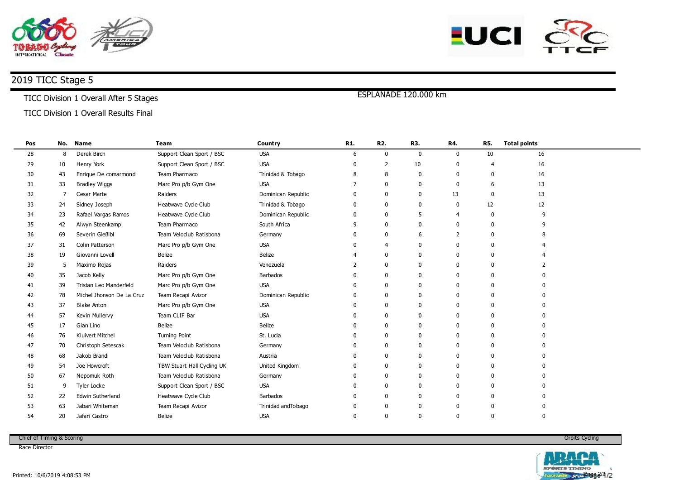



# 2019 TICC Stage 5

#### TICC Division 1 Overall After 5 Stages

### TICC Division 1 Overall Results Final

| Pos |    | No. Name                  | <b>Team</b>                | Country             | R1.          | <b>R2.</b>     | R3.          | R4.          | <b>R5.</b>   | <b>Total points</b> |  |
|-----|----|---------------------------|----------------------------|---------------------|--------------|----------------|--------------|--------------|--------------|---------------------|--|
| 28  | 8  | Derek Birch               | Support Clean Sport / BSC  | <b>USA</b>          | 6            | 0              | $\mathbf 0$  | 0            | 10           | 16                  |  |
| 29  | 10 | Henry York                | Support Clean Sport / BSC  | <b>USA</b>          | <sup>0</sup> | 2              | 10           |              |              | 16                  |  |
| 30  | 43 | Enrique De comarmond      | Team Pharmaco              | Trinidad & Tobago   | 8            | 8              | 0            | 0            | $\Omega$     | 16                  |  |
| 31  | 33 | <b>Bradley Wiggs</b>      | Marc Pro p/b Gym One       | <b>USA</b>          |              | 0              | 0            |              | 6            | 13                  |  |
| 32  | -7 | Cesar Marte               | Raiders                    | Dominican Republic  | 0            | 0              | $\mathbf 0$  | 13           | $\Omega$     | 13                  |  |
| 33  | 24 | Sidney Joseph             | Heatwave Cycle Club        | Trinidad & Tobago   | 0            | 0              | $\mathbf 0$  | $\mathbf{0}$ | 12           | 12                  |  |
| 34  | 23 | Rafael Vargas Ramos       | Heatwave Cycle Club        | Dominican Republic  | 0            | 0              | 5            |              | $\Omega$     |                     |  |
| 35  | 42 | Alwyn Steenkamp           | Team Pharmaco              | South Africa        | 9            | 0              | $\Omega$     |              | $\Omega$     |                     |  |
| 36  | 69 | Severin Gießibl           | Team Veloclub Ratisbona    | Germany             | 0            | 0              | 6            | 2            | $\Omega$     |                     |  |
| 37  | 31 | Colin Patterson           | Marc Pro p/b Gym One       | <b>USA</b>          | <sup>0</sup> | $\overline{4}$ | $\Omega$     |              | $\Omega$     |                     |  |
| 38  | 19 | Giovanni Lovell           | Belize                     | <b>Belize</b>       |              | 0              | $\Omega$     |              | $\Omega$     |                     |  |
| 39  | 5  | Maximo Rojas              | Raiders                    | Venezuela           |              | 0              | $\Omega$     |              | $\Omega$     |                     |  |
| 40  | 35 | Jacob Kelly               | Marc Pro p/b Gym One       | <b>Barbados</b>     |              | 0              | $\mathbf{0}$ |              | $\Omega$     |                     |  |
| 41  | 39 | Tristan Leo Manderfeld    | Marc Pro p/b Gym One       | <b>USA</b>          | <sup>0</sup> | 0              | 0            |              | $\mathbf{0}$ |                     |  |
| 42  | 78 | Michel Jhonson De La Cruz | Team Recapi Avizor         | Dominican Republic  | 0            | 0              | 0            | 0            | $\Omega$     |                     |  |
| 43  | 37 | <b>Blake Anton</b>        | Marc Pro p/b Gym One       | <b>USA</b>          | $\Omega$     | 0              | 0            |              | $\mathbf{0}$ |                     |  |
| 44  | 57 | Kevin Mullervy            | Team CLIF Bar              | <b>USA</b>          | <sup>0</sup> | 0              | $\Omega$     |              | $\mathbf{0}$ |                     |  |
| 45  | 17 | Gian Lino                 | Belize                     | <b>Belize</b>       | <sup>0</sup> | 0              | $\Omega$     | ŋ            | $\Omega$     |                     |  |
| 46  | 76 | Kluivert Mitchel          | <b>Turning Point</b>       | St. Lucia           | <sup>0</sup> | 0              | $\Omega$     |              | $\Omega$     |                     |  |
| 47  | 70 | Christoph Setescak        | Team Veloclub Ratisbona    | Germany             | 0            | 0              | $\Omega$     | ŋ            | 0            |                     |  |
| 48  | 68 | Jakob Brandl              | Team Veloclub Ratisbona    | Austria             | <sup>0</sup> | 0              | $\Omega$     | 0            | $\Omega$     |                     |  |
| 49  | 54 | Joe Howcroft              | TBW Stuart Hall Cycling UK | United Kingdom      | $\Omega$     | 0              | $\Omega$     |              | $\mathbf{0}$ |                     |  |
| 50  | 67 | Nepomuk Roth              | Team Veloclub Ratisbona    | Germany             | <sup>0</sup> | 0              | $\Omega$     |              | $\mathbf{0}$ |                     |  |
| 51  | 9  | Tyler Locke               | Support Clean Sport / BSC  | <b>USA</b>          | <sup>0</sup> | 0              | $\Omega$     |              | $\Omega$     |                     |  |
| 52  | 22 | Edwin Sutherland          | Heatwave Cycle Club        | <b>Barbados</b>     | <sup>0</sup> | 0              | $\Omega$     |              | $\Omega$     |                     |  |
| 53  | 63 | Jabari Whiteman           | Team Recapi Avizor         | Trinidad and Tobago | <sup>0</sup> | $\Omega$       | 0            |              | 0            |                     |  |
| 54  | 20 | Jafari Castro             | Belize                     | <b>USA</b>          | 0            | $\mathbf{0}$   | 0            |              | $\mathbf 0$  | $\Omega$            |  |

ESPLANADE 120.000 km

Chief of Timing & Scoring

Race Director

Orbits Cycling